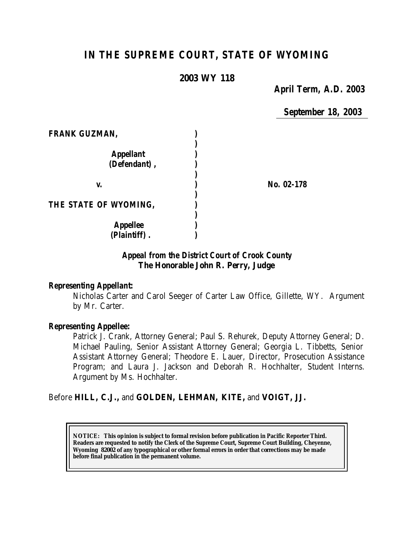# *IN THE SUPREME COURT, STATE OF WYOMING*

# **2003 WY 118**

*April Term, A.D. 2003*

*September 18, 2003*

| <b>FRANK GUZMAN,</b>             |            |
|----------------------------------|------------|
| <b>Appellant</b><br>(Defendant), |            |
| V.                               | No. 02-178 |
| THE STATE OF WYOMING,            |            |
| <b>Appellee</b><br>(Plaintiff).  |            |

# *Appeal from the District Court of Crook County* **The Honorable John R. Perry, Judge**

# *Representing Appellant:*

Nicholas Carter and Carol Seeger of Carter Law Office, Gillette, WY. Argument by Mr. Carter.

# *Representing Appellee:*

Patrick J. Crank, Attorney General; Paul S. Rehurek, Deputy Attorney General; D. Michael Pauling, Senior Assistant Attorney General; Georgia L. Tibbetts, Senior Assistant Attorney General; Theodore E. Lauer, Director, Prosecution Assistance Program; and Laura J. Jackson and Deborah R. Hochhalter, Student Interns. Argument by Ms. Hochhalter.

# Before **HILL, C.J.,** and **GOLDEN, LEHMAN, KITE,** and **VOIGT, JJ.**

**NOTICE:** *This opinion is subject to formal revision before publication in Pacific Reporter Third. Readers are requested to notify the Clerk of the Supreme Court, Supreme Court Building, Cheyenne, Wyoming 82002 of any typographical or other formal errors in order that corrections may be made before final publication in the permanent volume.*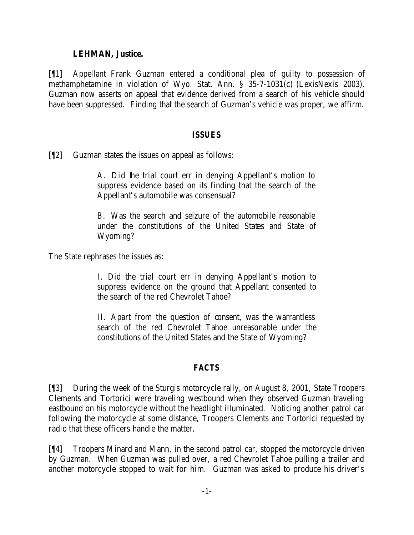#### **LEHMAN, Justice.**

[¶1] Appellant Frank Guzman entered a conditional plea of guilty to possession of methamphetamine in violation of Wyo. Stat. Ann. § 35-7-1031(c) (LexisNexis 2003). Guzman now asserts on appeal that evidence derived from a search of his vehicle should have been suppressed. Finding that the search of Guzman's vehicle was proper, we affirm.

#### *ISSUES*

[¶2] Guzman states the issues on appeal as follows:

A. Did the trial court err in denying Appellant's motion to suppress evidence based on its finding that the search of the Appellant's automobile was consensual?

B. Was the search and seizure of the automobile reasonable under the constitutions of the United States and State of Wyoming?

The State rephrases the issues as:

I. Did the trial court err in denying Appellant's motion to suppress evidence on the ground that Appellant consented to the search of the red Chevrolet Tahoe?

II. Apart from the question of consent, was the warrantless search of the red Chevrolet Tahoe unreasonable under the constitutions of the United States and the State of Wyoming?

# *FACTS*

[¶3] During the week of the Sturgis motorcycle rally, on August 8, 2001, State Troopers Clements and Tortorici were traveling westbound when they observed Guzman traveling eastbound on his motorcycle without the headlight illuminated. Noticing another patrol car following the motorcycle at some distance, Troopers Clements and Tortorici requested by radio that these officers handle the matter.

[¶4] Troopers Minard and Mann, in the second patrol car, stopped the motorcycle driven by Guzman. When Guzman was pulled over, a red Chevrolet Tahoe pulling a trailer and another motorcycle stopped to wait for him. Guzman was asked to produce his driver's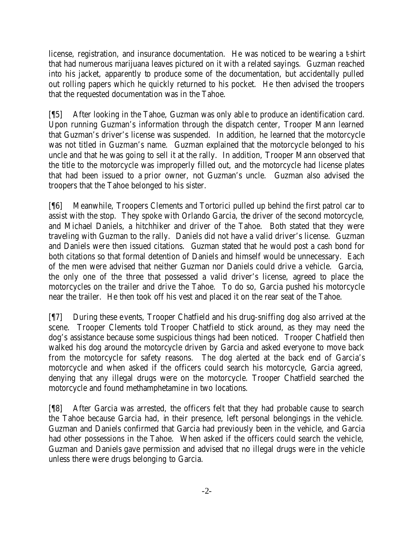license, registration, and insurance documentation. He was noticed to be wearing a t-shirt that had numerous marijuana leaves pictured on it with a related sayings. Guzman reached into his jacket, apparently to produce some of the documentation, but accidentally pulled out rolling papers which he quickly returned to his pocket. He then advised the troopers that the requested documentation was in the Tahoe.

[¶5] After looking in the Tahoe, Guzman was only able to produce an identification card. Upon running Guzman's information through the dispatch center, Trooper Mann learned that Guzman's driver's license was suspended. In addition, he learned that the motorcycle was not titled in Guzman's name. Guzman explained that the motorcycle belonged to his uncle and that he was going to sell it at the rally. In addition, Trooper Mann observed that the title to the motorcycle was improperly filled out, and the motorcycle had license plates that had been issued to a prior owner, not Guzman's uncle. Guzman also advised the troopers that the Tahoe belonged to his sister.

[¶6] Meanwhile, Troopers Clements and Tortorici pulled up behind the first patrol car to assist with the stop. They spoke with Orlando Garcia, the driver of the second motorcycle, and Michael Daniels, a hitchhiker and driver of the Tahoe. Both stated that they were traveling with Guzman to the rally. Daniels did not have a valid driver's license. Guzman and Daniels were then issued citations. Guzman stated that he would post a cash bond for both citations so that formal detention of Daniels and himself would be unnecessary. Each of the men were advised that neither Guzman nor Daniels could drive a vehicle. Garcia, the only one of the three that possessed a valid driver's license, agreed to place the motorcycles on the trailer and drive the Tahoe. To do so, Garcia pushed his motorcycle near the trailer. He then took off his vest and placed it on the rear seat of the Tahoe.

[¶7] During these events, Trooper Chatfield and his drug-sniffing dog also arrived at the scene. Trooper Clements told Trooper Chatfield to stick around, as they may need the dog's assistance because some suspicious things had been noticed. Trooper Chatfield then walked his dog around the motorcycle driven by Garcia and asked everyone to move back from the motorcycle for safety reasons. The dog alerted at the back end of Garcia's motorcycle and when asked if the officers could search his motorcycle, Garcia agreed, denying that any illegal drugs were on the motorcycle. Trooper Chatfield searched the motorcycle and found methamphetamine in two locations.

[¶8] After Garcia was arrested, the officers felt that they had probable cause to search the Tahoe because Garcia had, in their presence, left personal belongings in the vehicle. Guzman and Daniels confirmed that Garcia had previously been in the vehicle, and Garcia had other possessions in the Tahoe. When asked if the officers could search the vehicle, Guzman and Daniels gave permission and advised that no illegal drugs were in the vehicle unless there were drugs belonging to Garcia.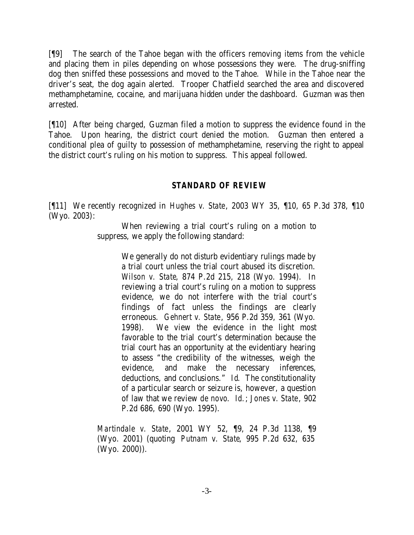[¶9] The search of the Tahoe began with the officers removing items from the vehicle and placing them in piles depending on whose possessions they were. The drug-sniffing dog then sniffed these possessions and moved to the Tahoe. While in the Tahoe near the driver's seat, the dog again alerted. Trooper Chatfield searched the area and discovered methamphetamine, cocaine, and marijuana hidden under the dashboard. Guzman was then arrested.

[¶10] After being charged, Guzman filed a motion to suppress the evidence found in the Tahoe. Upon hearing, the district court denied the motion. Guzman then entered a conditional plea of guilty to possession of methamphetamine, reserving the right to appeal the district court's ruling on his motion to suppress. This appeal followed.

# *STANDARD OF REVIEW*

[¶11] We recently recognized in *Hughes v. State*, 2003 WY 35, ¶10, 65 P.3d 378, ¶10 (Wyo. 2003):

> When reviewing a trial court's ruling on a motion to suppress, we apply the following standard:

> > We generally do not disturb evidentiary rulings made by a trial court unless the trial court abused its discretion. *Wilson v. State*, 874 P.2d 215, 218 (Wyo. 1994). In reviewing a trial court's ruling on a motion to suppress evidence, we do not interfere with the trial court's findings of fact unless the findings are clearly erroneous. *Gehnert v. State*, 956 P.2d 359, 361 (Wyo. 1998). We view the evidence in the light most favorable to the trial court's determination because the trial court has an opportunity at the evidentiary hearing to assess "the credibility of the witnesses, weigh the evidence, and make the necessary inferences, deductions, and conclusions." *Id*. The constitutionality of a particular search or seizure is, however, a question of law that we review *de novo*. *Id.*; *Jones v. State*, 902 P.2d 686, 690 (Wyo. 1995).

*Martindale v. State*, 2001 WY 52, ¶9, 24 P.3d 1138, ¶9 (Wyo. 2001) (quoting *Putnam v. State*, 995 P.2d 632, 635 (Wyo. 2000)).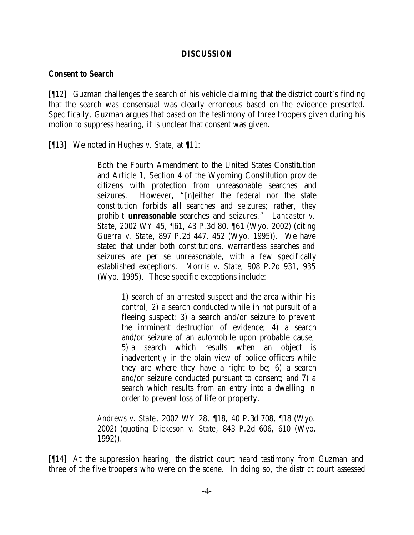#### *DISCUSSION*

#### *Consent to Search*

[¶12] Guzman challenges the search of his vehicle claiming that the district court's finding that the search was consensual was clearly erroneous based on the evidence presented. Specifically, Guzman argues that based on the testimony of three troopers given during his motion to suppress hearing, it is unclear that consent was given.

[¶13] We noted in *Hughes v. State*, at ¶11:

Both the Fourth Amendment to the United States Constitution and Article 1, Section 4 of the Wyoming Constitution provide citizens with protection from unreasonable searches and seizures. However, "[n]either the federal nor the state constitution forbids *all* searches and seizures; rather, they prohibit *unreasonable* searches and seizures." *Lancaster v. State*, 2002 WY 45, ¶61, 43 P.3d 80, ¶61 (Wyo. 2002) (citing *Guerra v. State*, 897 P.2d 447, 452 (Wyo. 1995)). We have stated that under both constitutions, warrantless searches and seizures are per se unreasonable, with a few specifically established exceptions. *Morris v. State*, 908 P.2d 931, 935 (Wyo. 1995). These specific exceptions include:

> 1) search of an arrested suspect and the area within his control; 2) a search conducted while in hot pursuit of a fleeing suspect; 3) a search and/or seizure to prevent the imminent destruction of evidence; 4) a search and/or seizure of an automobile upon probable cause; 5) a search which results when an object is inadvertently in the plain view of police officers while they are where they have a right to be; 6) a search and/or seizure conducted pursuant to consent; and 7) a search which results from an entry into a dwelling in order to prevent loss of life or property.

*Andrews v. State*, 2002 WY 28, ¶18, 40 P.3d 708, ¶18 (Wyo. 2002) (quoting *Dickeson v. State*, 843 P.2d 606, 610 (Wyo. 1992)).

[¶14] At the suppression hearing, the district court heard testimony from Guzman and three of the five troopers who were on the scene. In doing so, the district court assessed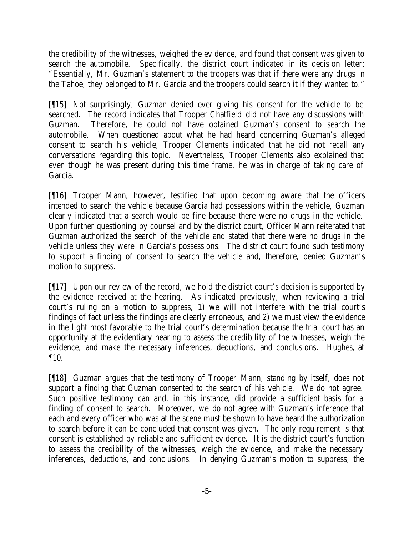the credibility of the witnesses, weighed the evidence, and found that consent was given to search the automobile. Specifically, the district court indicated in its decision letter: "Essentially, Mr. Guzman's statement to the troopers was that if there were any drugs in the Tahoe, they belonged to Mr. Garcia and the troopers could search it if they wanted to."

[¶15] Not surprisingly, Guzman denied ever giving his consent for the vehicle to be searched. The record indicates that Trooper Chatfield did not have any discussions with Guzman. Therefore, he could not have obtained Guzman's consent to search the automobile. When questioned about what he had heard concerning Guzman's alleged consent to search his vehicle, Trooper Clements indicated that he did not recall any conversations regarding this topic. Nevertheless, Trooper Clements also explained that even though he was present during this time frame, he was in charge of taking care of Garcia.

[¶16] Trooper Mann, however, testified that upon becoming aware that the officers intended to search the vehicle because Garcia had possessions within the vehicle, Guzman clearly indicated that a search would be fine because there were no drugs in the vehicle. Upon further questioning by counsel and by the district court, Officer Mann reiterated that Guzman authorized the search of the vehicle and stated that there were no drugs in the vehicle unless they were in Garcia's possessions. The district court found such testimony to support a finding of consent to search the vehicle and, therefore, denied Guzman's motion to suppress.

[¶17] Upon our review of the record, we hold the district court's decision is supported by the evidence received at the hearing. As indicated previously, when reviewing a trial court's ruling on a motion to suppress, 1) we will not interfere with the trial court's findings of fact unless the findings are clearly erroneous, and 2) we must view the evidence in the light most favorable to the trial court's determination because the trial court has an opportunity at the evidentiary hearing to assess the credibility of the witnesses, weigh the evidence, and make the necessary inferences, deductions, and conclusions. *Hughes*, at ¶10.

[¶18] Guzman argues that the testimony of Trooper Mann, standing by itself, does not support a finding that Guzman consented to the search of his vehicle. We do not agree. Such positive testimony can and, in this instance, did provide a sufficient basis for a finding of consent to search. Moreover, we do not agree with Guzman's inference that each and every officer who was at the scene must be shown to have heard the authorization to search before it can be concluded that consent was given. The only requirement is that consent is established by reliable and sufficient evidence. It is the district court's function to assess the credibility of the witnesses, weigh the evidence, and make the necessary inferences, deductions, and conclusions. In denying Guzman's motion to suppress, the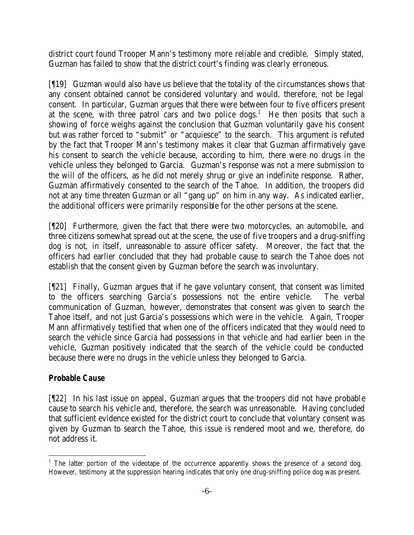district court found Trooper Mann's testimony more reliable and credible. Simply stated, Guzman has failed to show that the district court's finding was clearly erroneous.

[¶19] Guzman would also have us believe that the totality of the circumstances shows that any consent obtained cannot be considered voluntary and would, therefore, not be legal consent. In particular, Guzman argues that there were between four to five officers present at the scene, with three patrol cars and two police  $\log s$ <sup>1</sup>. He then posits that such a showing of force weighs against the conclusion that Guzman voluntarily gave his consent but was rather forced to "submit" or "acquiesce" to the search. This argument is refuted by the fact that Trooper Mann's testimony makes it clear that Guzman affirmatively gave his consent to search the vehicle because, according to him, there were no drugs in the vehicle unless they belonged to Garcia. Guzman's response was not a mere submission to the will of the officers, as he did not merely shrug or give an indefinite response. Rather, Guzman affirmatively consented to the search of the Tahoe. In addition, the troopers did not at any time threaten Guzman or all "gang up" on him in any way. As indicated earlier, the additional officers were primarily responsible for the other persons at the scene.

[¶20] Furthermore, given the fact that there were two motorcycles, an automobile, and three citizens somewhat spread out at the scene, the use of five troopers and a drug-sniffing dog is not, in itself, unreasonable to assure officer safety. Moreover, the fact that the officers had earlier concluded that they had probable cause to search the Tahoe does not establish that the consent given by Guzman before the search was involuntary.

[¶21] Finally, Guzman argues that if he gave voluntary consent, that consent was limited to the officers searching Garcia's possessions not the entire vehicle. The verbal communication of Guzman, however, demonstrates that consent was given to search the Tahoe itself, and not just Garcia's possessions which were in the vehicle. Again, Trooper Mann affirmatively testified that when one of the officers indicated that they would need to search the vehicle since Garcia had possessions in that vehicle and had earlier been in the vehicle, Guzman positively indicated that the search of the vehicle could be conducted because there were no drugs in the vehicle unless they belonged to Garcia.

# *Probable Cause*

l

[¶22] In his last issue on appeal, Guzman argues that the troopers did not have probable cause to search his vehicle and, therefore, the search was unreasonable. Having concluded that sufficient evidence existed for the district court to conclude that voluntary consent was given by Guzman to search the Tahoe, this issue is rendered moot and we, therefore, do not address it.

<sup>&</sup>lt;sup>1</sup> The latter portion of the videotape of the occurrence apparently shows the presence of a second dog. However, testimony at the suppression hearing indicates that only one drug-sniffing police dog was present.